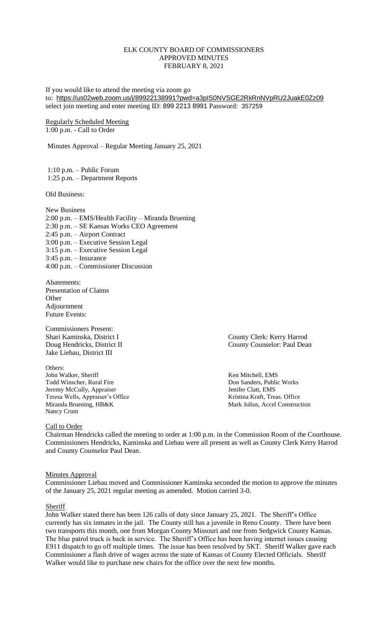# ELK COUNTY BOARD OF COMMISSIONERS APPROVED MINUTES FEBRUARY 8, 2021

If you would like to attend the meeting via zoom go to: <https://us02web.zoom.us/j/89922138991?pwd=a3pIS0NVSGE2RkRnNVpRU2JuakE0Zz09> select join meeting and enter meeting ID: 899 2213 8991 Password: 357259

Regularly Scheduled Meeting 1:00 p.m. - Call to Order

Minutes Approval – Regular Meeting January 25, 2021

1:10 p.m. – Public Forum 1:25 p.m. – Department Reports

Old Business:

New Business 2:00 p.m. – EMS/Health Facility – Miranda Bruening 2:30 p.m. – SE Kansas Works CEO Agreement 2:45 p.m. – Airport Contract 3:00 p.m. – Executive Session Legal 3:15 p.m. – Executive Session Legal 3:45 p.m. – Insurance 4:00 p.m. – Commissioner Discussion

Abatements: Presentation of Claims **Other** Adjournment Future Events:

Commissioners Present: Shari Kaminska, District I County Clerk: Kerry Harrod Jake Liebau, District III

Others:<br>John Walker, Sheriff Todd Winscher, Rural Fire **The Example 2018** 2019 12:30 Don Sanders, Public Works Jeremy McCully, Appraiser and South and Series and Series and Series and Series and Series and Series and Series Aristina Kraft, Treas. Office Teresa Wells, Appraiser's Office Miranda Bruening, HB&K Mark Julius, Accel Construction Nancy Crum

Doug Hendricks, District II County Counselor: Paul Dean

Ken Mitchell, EMS

Call to Order

Chairman Hendricks called the meeting to order at 1:00 p.m. in the Commission Room of the Courthouse. Commissioners Hendricks, Kaminska and Liebau were all present as well as County Clerk Kerry Harrod and County Counselor Paul Dean.

### Minutes Approval

Commissioner Liebau moved and Commissioner Kaminska seconded the motion to approve the minutes of the January 25, 2021 regular meeting as amended. Motion carried 3-0.

### Sheriff

John Walker stated there has been 126 calls of duty since January 25, 2021. The Sheriff's Office currently has six inmates in the jail. The County still has a juvenile in Reno County. There have been two transports this month, one from Morgan County Missouri and one from Sedgwick County Kansas. The blue patrol truck is back in service. The Sheriff's Office has been having internet issues causing E911 dispatch to go off multiple times. The issue has been resolved by SKT. Sheriff Walker gave each Commissioner a flash drive of wages across the state of Kansas of County Elected Officials. Sheriff Walker would like to purchase new chairs for the office over the next few months.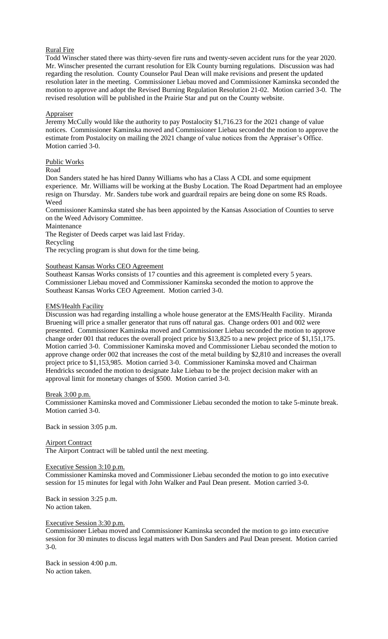# Rural Fire

Todd Winscher stated there was thirty-seven fire runs and twenty-seven accident runs for the year 2020. Mr. Winscher presented the currant resolution for Elk County burning regulations. Discussion was had regarding the resolution. County Counselor Paul Dean will make revisions and present the updated resolution later in the meeting. Commissioner Liebau moved and Commissioner Kaminska seconded the motion to approve and adopt the Revised Burning Regulation Resolution 21-02. Motion carried 3-0. The revised resolution will be published in the Prairie Star and put on the County website.

## **Appraiser**

Jeremy McCully would like the authority to pay Postalocity \$1,716.23 for the 2021 change of value notices. Commissioner Kaminska moved and Commissioner Liebau seconded the motion to approve the estimate from Postalocity on mailing the 2021 change of value notices from the Appraiser's Office. Motion carried 3-0.

## Public Works

Road

Don Sanders stated he has hired Danny Williams who has a Class A CDL and some equipment experience. Mr. Williams will be working at the Busby Location. The Road Department had an employee resign on Thursday. Mr. Sanders tube work and guardrail repairs are being done on some RS Roads. Weed

Commissioner Kaminska stated she has been appointed by the Kansas Association of Counties to serve on the Weed Advisory Committee.

Maintenance

The Register of Deeds carpet was laid last Friday.

Recycling

The recycling program is shut down for the time being.

# Southeast Kansas Works CEO Agreement

Southeast Kansas Works consists of 17 counties and this agreement is completed every 5 years. Commissioner Liebau moved and Commissioner Kaminska seconded the motion to approve the Southeast Kansas Works CEO Agreement. Motion carried 3-0.

## EMS/Health Facility

Discussion was had regarding installing a whole house generator at the EMS/Health Facility. Miranda Bruening will price a smaller generator that runs off natural gas. Change orders 001 and 002 were presented. Commissioner Kaminska moved and Commissioner Liebau seconded the motion to approve change order 001 that reduces the overall project price by \$13,825 to a new project price of \$1,151,175. Motion carried 3-0. Commissioner Kaminska moved and Commissioner Liebau seconded the motion to approve change order 002 that increases the cost of the metal building by \$2,810 and increases the overall project price to \$1,153,985. Motion carried 3-0. Commissioner Kaminska moved and Chairman Hendricks seconded the motion to designate Jake Liebau to be the project decision maker with an approval limit for monetary changes of \$500. Motion carried 3-0.

Break 3:00 p.m.

Commissioner Kaminska moved and Commissioner Liebau seconded the motion to take 5-minute break. Motion carried 3-0.

Back in session 3:05 p.m.

Airport Contract The Airport Contract will be tabled until the next meeting.

### Executive Session 3:10 p.m.

Commissioner Kaminska moved and Commissioner Liebau seconded the motion to go into executive session for 15 minutes for legal with John Walker and Paul Dean present. Motion carried 3-0.

Back in session 3:25 p.m. No action taken.

Executive Session 3:30 p.m.

Commissioner Liebau moved and Commissioner Kaminska seconded the motion to go into executive session for 30 minutes to discuss legal matters with Don Sanders and Paul Dean present. Motion carried 3-0.

Back in session 4:00 p.m. No action taken.